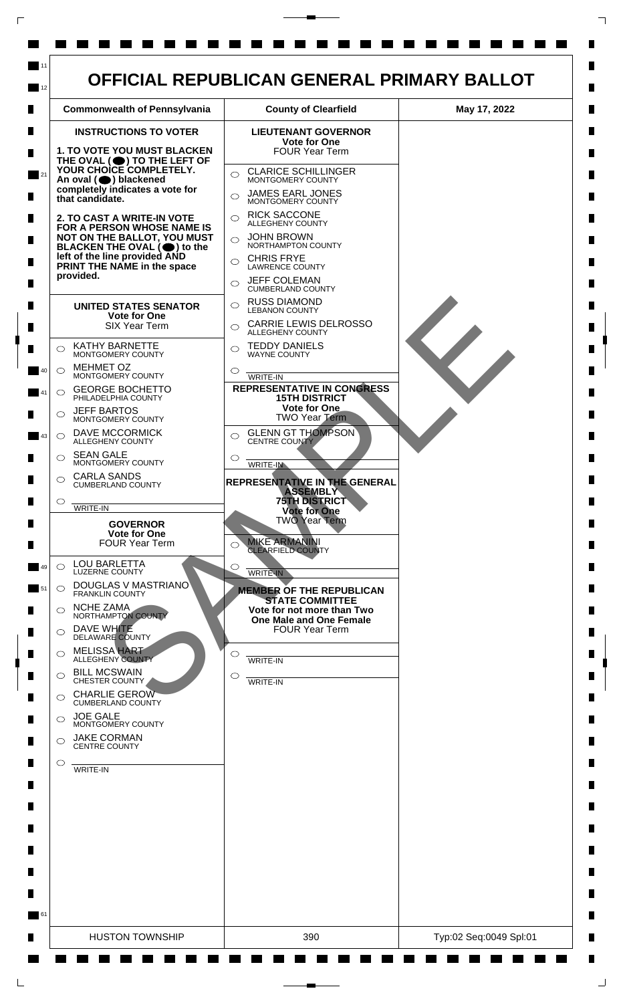

 $\mathsf{L}$ 

 $\Box$